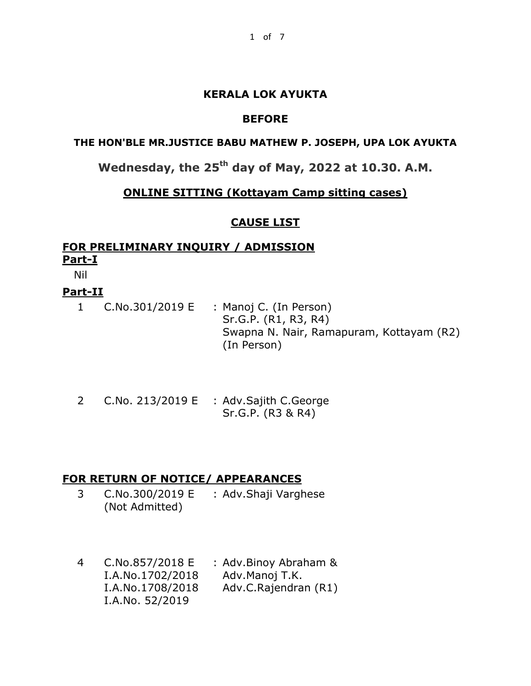## **KERALA LOK AYUKTA**

## **BEFORE**

### **THE HON'BLE MR.JUSTICE BABU MATHEW P. JOSEPH, UPA LOK AYUKTA**

# **Wednesday, the 25th day of May, 2022 at 10.30. A.M.**

## **ONLINE SITTING (Kottayam Camp sitting cases)**

## **CAUSE LIST**

# **FOR PRELIMINARY INQUIRY / ADMISSION Part-I**

Nil

## **Part-II**

- 1 C.No.301/2019 E : Manoj C. (In Person) Sr.G.P. (R1, R3, R4) Swapna N. Nair, Ramapuram, Kottayam (R2) (In Person)
- 2 C.No. 213/2019 E : Adv.Sajith C.George Sr.G.P. (R3 & R4)

## **FOR RETURN OF NOTICE/ APPEARANCES**

- 3 C.No.300/2019 E (Not Admitted) : Adv.Shaji Varghese
- 4 C.No.857/2018 E I.A.No.1702/2018 I.A.No.1708/2018 I.A.No. 52/2019 : Adv.Binoy Abraham & Adv.Manoj T.K. Adv.C.Rajendran (R1)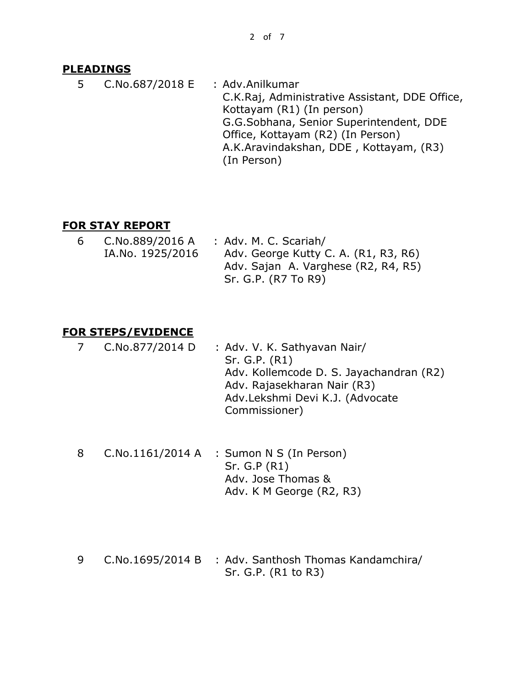#### **PLEADINGS**

5 C.No.687/2018 E : Adv.Anilkumar C.K.Raj, Administrative Assistant, DDE Office, Kottayam (R1) (In person) G.G.Sobhana, Senior Superintendent, DDE Office, Kottayam (R2) (In Person) A.K.Aravindakshan, DDE , Kottayam, (R3)

(In Person)

#### **FOR STAY REPORT**

| 6 | C.No.889/2016 A  | : Adv. M. C. Scariah/                |
|---|------------------|--------------------------------------|
|   | IA.No. 1925/2016 | Adv. George Kutty C. A. (R1, R3, R6) |
|   |                  | Adv. Sajan A. Varghese (R2, R4, R5)  |
|   |                  | Sr. G.P. (R7 To R9)                  |

#### **FOR STEPS/EVIDENCE**

- 7 C.No.877/2014 D : Adv. V. K. Sathyavan Nair/ Sr. G.P. (R1) Adv. Kollemcode D. S. Jayachandran (R2) Adv. Rajasekharan Nair (R3) Adv.Lekshmi Devi K.J. (Advocate Commissioner)
- 8 C.No.1161/2014 A : Sumon N S (In Person) Sr. G.P (R1) Adv. Jose Thomas & Adv. K M George (R2, R3)
- 9 C.No.1695/2014 B : Adv. Santhosh Thomas Kandamchira/ Sr. G.P. (R1 to R3)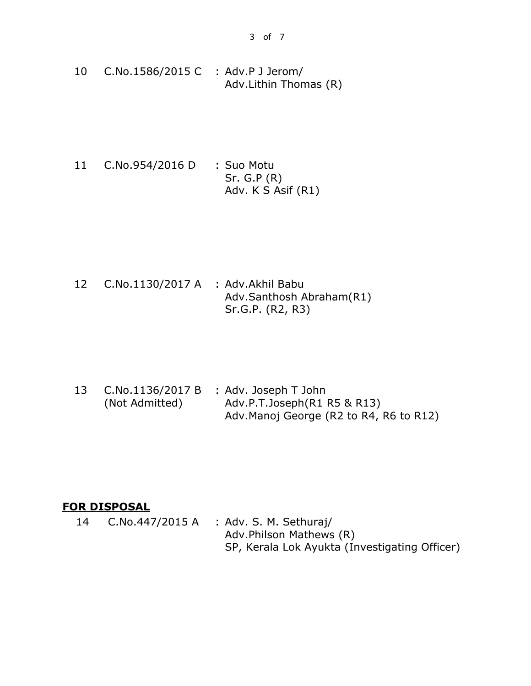- 10 C.No.1586/2015 C : Adv.P J Jerom/ Adv.Lithin Thomas (R)
- 11 C.No.954/2016 D : Suo Motu Sr. G.P (R) Adv. K S Asif (R1)

12 C.No.1130/2017 A : Adv.Akhil Babu Adv.Santhosh Abraham(R1) Sr.G.P. (R2, R3)

13 C.No.1136/2017 B (Not Admitted) : Adv. Joseph T John Adv.P.T.Joseph(R1 R5 & R13) Adv.Manoj George (R2 to R4, R6 to R12)

## **FOR DISPOSAL**

14 C.No.447/2015 A : Adv. S. M. Sethuraj/ Adv.Philson Mathews (R) SP, Kerala Lok Ayukta (Investigating Officer)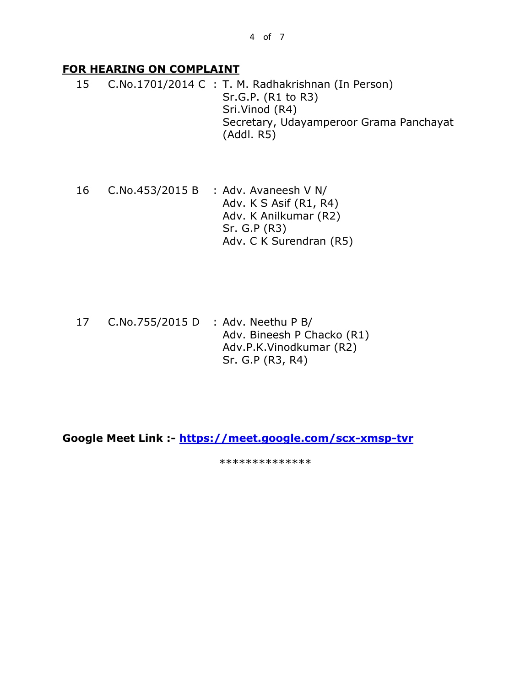#### **FOR HEARING ON COMPLAINT**

15 C.No.1701/2014 C : T. M. Radhakrishnan (In Person) Sr.G.P. (R1 to R3) Sri.Vinod (R4) Secretary, Udayamperoor Grama Panchayat (Addl. R5)

- 16 C.No.453/2015 B : Adv. Avaneesh V N/ Adv. K S Asif (R1, R4) Adv. K Anilkumar (R2) Sr. G.P (R3) Adv. C K Surendran (R5)
- 17 C.No.755/2015 D : Adv. Neethu P B/ Adv. Bineesh P Chacko (R1) Adv.P.K.Vinodkumar (R2) Sr. G.P (R3, R4)

**Google Meet Link :- <https://meet.google.com/scx-xmsp-tvr>**

\*\*\*\*\*\*\*\*\*\*\*\*\*\*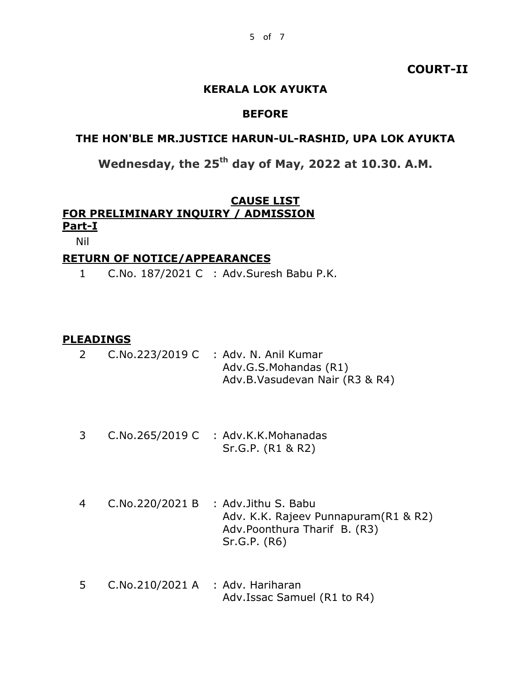#### **COURT-II**

#### **KERALA LOK AYUKTA**

#### **BEFORE**

#### **THE HON'BLE MR.JUSTICE HARUN-UL-RASHID, UPA LOK AYUKTA**

# **Wednesday, the 25th day of May, 2022 at 10.30. A.M.**

#### **CAUSE LIST FOR PRELIMINARY INQUIRY / ADMISSION Part-I**

Nil

# **RETURN OF NOTICE/APPEARANCES**

1 C.No. 187/2021 C : Adv.Suresh Babu P.K.

#### **PLEADINGS**

|  | $C.No.223/2019 C$ : Adv. N. Anil Kumar |
|--|----------------------------------------|
|  | Adv.G.S.Mohandas (R1)                  |
|  | Adv.B.Vasudevan Nair (R3 & R4)         |

- 3 C.No.265/2019 C : Adv.K.K.Mohanadas Sr.G.P. (R1 & R2)
- 4 C.No.220/2021 B : Adv.Jithu S. Babu Adv. K.K. Rajeev Punnapuram(R1 & R2) Adv.Poonthura Tharif B. (R3) Sr.G.P. (R6)
- 5 C.No.210/2021 A : Adv. Hariharan Adv.Issac Samuel (R1 to R4)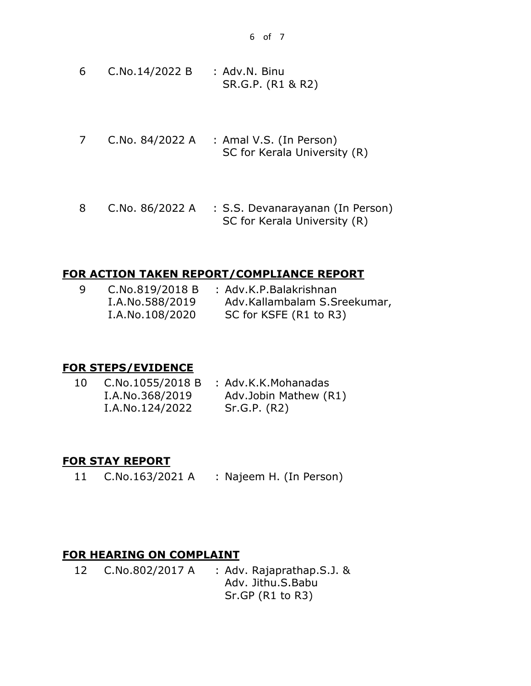- 6 C.No.14/2022 B : Adv.N. Binu SR.G.P. (R1 & R2)
- 7 C.No. 84/2022 A : Amal V.S. (In Person) SC for Kerala University (R)
- 8 C.No. 86/2022 A : S.S. Devanarayanan (In Person) SC for Kerala University (R)

#### **FOR ACTION TAKEN REPORT/COMPLIANCE REPORT**

| -9 | C.No.819/2018 B | : Adv.K.P.Balakrishnan       |
|----|-----------------|------------------------------|
|    | I.A.No.588/2019 | Adv.Kallambalam S.Sreekumar, |
|    | I.A.No.108/2020 | SC for KSFE (R1 to R3)       |

## **FOR STEPS/EVIDENCE**

| 10 | C.No.1055/2018 B | : Adv.K.K.Mohanadas   |
|----|------------------|-----------------------|
|    | I.A.No.368/2019  | Adv.Jobin Mathew (R1) |
|    | I.A.No.124/2022  | Sr.G.P. (R2)          |

#### **FOR STAY REPORT**

11 C.No.163/2021 A : Najeem H. (In Person)

#### **FOR HEARING ON COMPLAINT**

12 C.No.802/2017 A : Adv. Rajaprathap.S.J. & Adv. Jithu.S.Babu Sr.GP (R1 to R3)